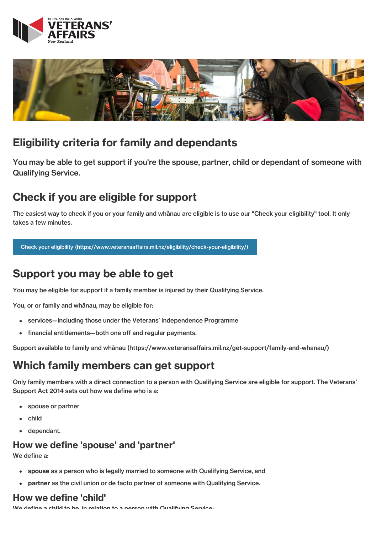



### Eligibility criteria for family and dependants

You may be able to get support if you're the spouse, partner, child or dependant of someone with Qualifying Service.

## Check if you are eligible for support

The easiest way to check if you or your family and whānau are eligible is to use our "Check your eligibility" tool. It only takes a few minutes.

Check your eligibility [\(https://www.veteransaffairs.mil.nz/eligibility/check-your-eligibility/\)](http://veteransaffairs.mil.nz/eligibility/check-your-eligibility/)

# Support you may be able to get

You may be eligible for support if a family member is injured by their Qualifying Service.

You, or or family and whānau, may be eligible for:

- services—including those under the Veterans' Independence Programme  $\bullet$
- financial entitlements—both one off and regular payments.  $\bullet$

Support available to family and whānau [\(https://www.veteransaffairs.mil.nz/get-support/family-and-whanau/\)](http://veteransaffairs.mil.nz/get-support/family-and-whanau/)

### Which family members can get support

Only family members with a direct connection to a person with Qualifying Service are eligible for support. The Veterans' Support Act 2014 sets out how we define who is a:

- spouse or partner  $\bullet$
- child
- dependant.

#### How we define 'spouse' and 'partner'

We define a:

- spouse as a person who is legally married to someone with Qualifying Service, and  $\bullet$
- partner as the civil union or de facto partner of someone with Qualifying Service.  $\bullet$

### How we define 'child'

We define a child to be, in relation to a person with Qualifying Service: